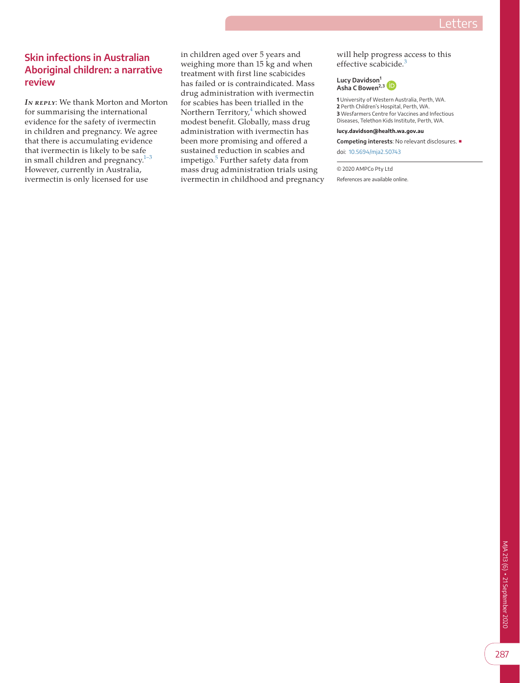## **Skin infections in Australian Aboriginal children: a narrative review**

*IN REPLY:* We thank Morton and Morton for summarising the international evidence for the safety of ivermectin in children and pregnancy. We agree that there is accumulating evidence that ivermectin is likely to be safe in small children and pregnancy.<sup>[1–3](#page-1-0)</sup> However, currently in Australia, ivermectin is only licensed for use

in children aged over 5 years and weighing more than 15 kg and when treatment with first line scabicides has failed or is contraindicated. Mass drug administration with ivermectin for scabies has been trialled in the Northern Territory,<sup>[4](#page-1-1)</sup> which showed modest benefit. Globally, mass drug administration with ivermectin has been more promising and offered a sustained reduction in scabies and impetigo.<sup>[5](#page-1-2)</sup> Further safety data from mass drug administration trials using ivermectin in childhood and pregnancy will help progress access to this effective scabicide.<sup>[3](#page-1-3)</sup>



 University of Western Australia, Perth, WA. Perth Children's Hospital, Perth, WA. Wesfarmers Centre for Vaccines and Infectious Diseases, Telethon Kids Institute, Perth, WA.

**lucy.davidson@health.wa.gov.au**

**Competing interests**: No relevant disclosures. ■

doi: [10.5694/mja2.50743](https://doi.org/10.5694/mja2.50743)

© 2020 AMPCo Pty Ltd

References are available online.